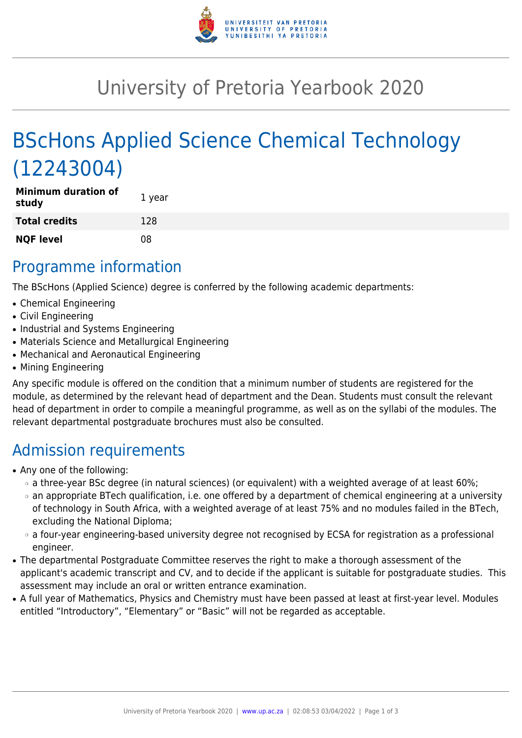

## University of Pretoria Yearbook 2020

# BScHons Applied Science Chemical Technology (12243004)

| <b>Minimum duration of</b><br>study | 1 year |
|-------------------------------------|--------|
| <b>Total credits</b>                | 128    |
| <b>NQF level</b>                    | 08     |

#### Programme information

The BScHons (Applied Science) degree is conferred by the following academic departments:

- Chemical Engineering
- Civil Engineering
- Industrial and Systems Engineering
- Materials Science and Metallurgical Engineering
- Mechanical and Aeronautical Engineering
- Mining Engineering

Any specific module is offered on the condition that a minimum number of students are registered for the module, as determined by the relevant head of department and the Dean. Students must consult the relevant head of department in order to compile a meaningful programme, as well as on the syllabi of the modules. The relevant departmental postgraduate brochures must also be consulted.

## Admission requirements

- Any one of the following:
	- ❍ a three-year BSc degree (in natural sciences) (or equivalent) with a weighted average of at least 60%;
	- ❍ an appropriate BTech qualification, i.e. one offered by a department of chemical engineering at a university of technology in South Africa, with a weighted average of at least 75% and no modules failed in the BTech, excluding the National Diploma;
	- ❍ a four-year engineering-based university degree not recognised by ECSA for registration as a professional engineer.
- The departmental Postgraduate Committee reserves the right to make a thorough assessment of the applicant's academic transcript and CV, and to decide if the applicant is suitable for postgraduate studies. This assessment may include an oral or written entrance examination.
- A full year of Mathematics, Physics and Chemistry must have been passed at least at first-year level. Modules entitled "Introductory", "Elementary" or "Basic" will not be regarded as acceptable.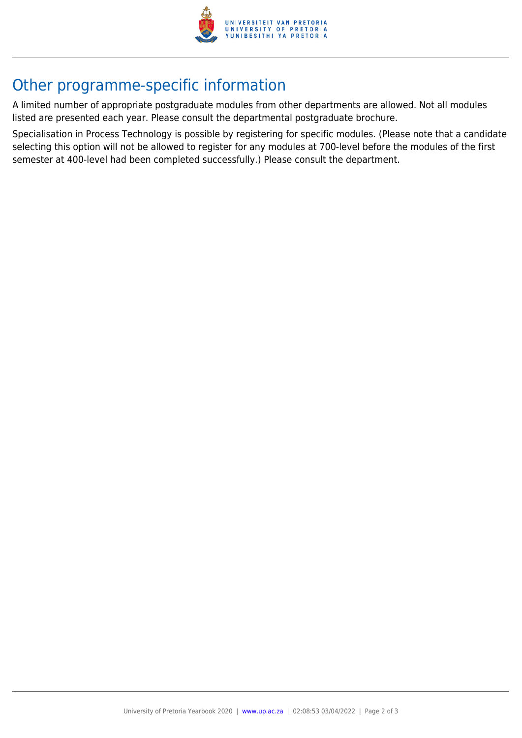

### Other programme-specific information

A limited number of appropriate postgraduate modules from other departments are allowed. Not all modules listed are presented each year. Please consult the departmental postgraduate brochure.

Specialisation in Process Technology is possible by registering for specific modules. (Please note that a candidate selecting this option will not be allowed to register for any modules at 700-level before the modules of the first semester at 400-level had been completed successfully.) Please consult the department.